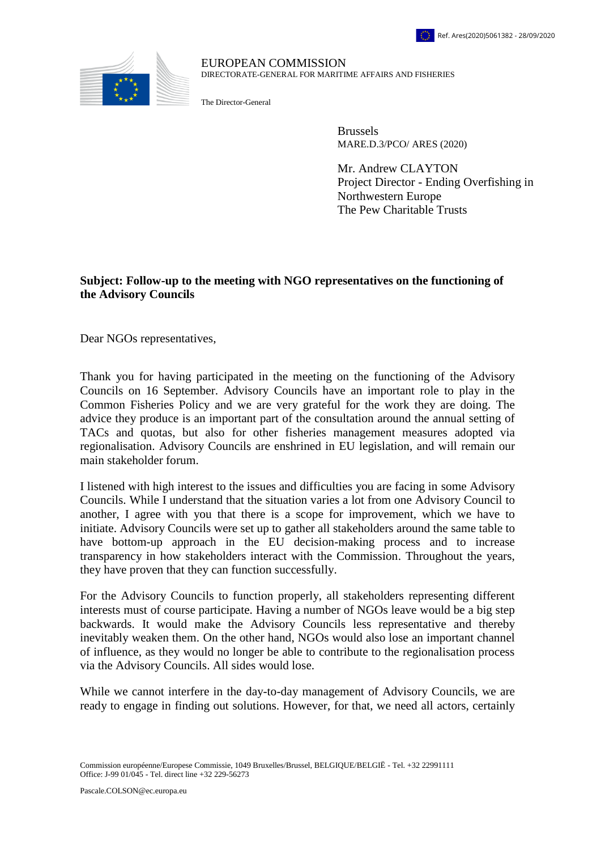

## EUROPEAN COMMISSION DIRECTORATE-GENERAL FOR MARITIME AFFAIRS AND FISHERIES

The Director-General

Brussels MARE.D.3/PCO/ ARES (2020)

Mr. Andrew CLAYTON Project Director - Ending Overfishing in Northwestern Europe The Pew Charitable Trusts

## **Subject: Follow-up to the meeting with NGO representatives on the functioning of the Advisory Councils**

Dear NGOs representatives,

Thank you for having participated in the meeting on the functioning of the Advisory Councils on 16 September. Advisory Councils have an important role to play in the Common Fisheries Policy and we are very grateful for the work they are doing. The advice they produce is an important part of the consultation around the annual setting of TACs and quotas, but also for other fisheries management measures adopted via regionalisation. Advisory Councils are enshrined in EU legislation, and will remain our main stakeholder forum.

I listened with high interest to the issues and difficulties you are facing in some Advisory Councils. While I understand that the situation varies a lot from one Advisory Council to another, I agree with you that there is a scope for improvement, which we have to initiate. Advisory Councils were set up to gather all stakeholders around the same table to have bottom-up approach in the EU decision-making process and to increase transparency in how stakeholders interact with the Commission. Throughout the years, they have proven that they can function successfully.

For the Advisory Councils to function properly, all stakeholders representing different interests must of course participate. Having a number of NGOs leave would be a big step backwards. It would make the Advisory Councils less representative and thereby inevitably weaken them. On the other hand, NGOs would also lose an important channel of influence, as they would no longer be able to contribute to the regionalisation process via the Advisory Councils. All sides would lose.

While we cannot interfere in the day-to-day management of Advisory Councils, we are ready to engage in finding out solutions. However, for that, we need all actors, certainly

Commission européenne/Europese Commissie, 1049 Bruxelles/Brussel, BELGIQUE/BELGIË - Tel. +32 22991111 Office: J-99 01/045 - Tel. direct line +32 229-56273